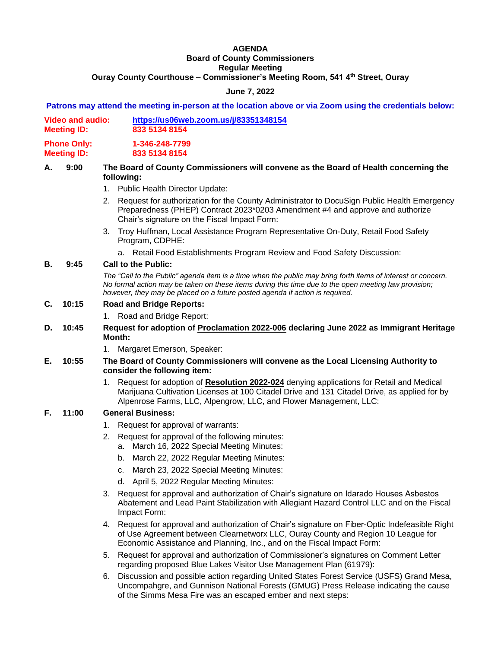# **AGENDA Board of County Commissioners Regular Meeting Ouray County Courthouse – Commissioner's Meeting Room, 541 4th Street, Ouray**

# **June 7, 2022**

#### **Patrons may attend the meeting in-person at the location above or via Zoom using the credentials below:**

| <b>Video and audio:</b><br><b>Meeting ID:</b> | https://us06web.zoom.us/j/83351348154 |
|-----------------------------------------------|---------------------------------------|
|                                               | 833 5134 8154                         |

**Phone Only: 1-346-248-7799 Meeting ID: 833 5134 8154**

## **A. 9:00 The Board of County Commissioners will convene as the Board of Health concerning the following:**

- 1. Public Health Director Update:
- 2. Request for authorization for the County Administrator to DocuSign Public Health Emergency Preparedness (PHEP) Contract 2023\*0203 Amendment #4 and approve and authorize Chair's signature on the Fiscal Impact Form:
- 3. Troy Huffman, Local Assistance Program Representative On-Duty, Retail Food Safety Program, CDPHE:
	- a. Retail Food Establishments Program Review and Food Safety Discussion:

## **B. 9:45 Call to the Public:**

*The "Call to the Public" agenda item is a time when the public may bring forth items of interest or concern. No formal action may be taken on these items during this time due to the open meeting law provision; however, they may be placed on a future posted agenda if action is required.*

## **C. 10:15 Road and Bridge Reports:**

1. Road and Bridge Report:

#### **D. 10:45 Request for adoption of Proclamation 2022-006 declaring June 2022 as Immigrant Heritage Month:**

1. Margaret Emerson, Speaker:

#### **E. 10:55 The Board of County Commissioners will convene as the Local Licensing Authority to consider the following item:**

1. Request for adoption of **Resolution 2022-024** denying applications for Retail and Medical Marijuana Cultivation Licenses at 100 Citadel Drive and 131 Citadel Drive, as applied for by Alpenrose Farms, LLC, Alpengrow, LLC, and Flower Management, LLC:

## **F. 11:00 General Business:**

- 1. Request for approval of warrants:
- 2. Request for approval of the following minutes:
	- a. March 16, 2022 Special Meeting Minutes:
	- b. March 22, 2022 Regular Meeting Minutes:
	- c. March 23, 2022 Special Meeting Minutes:
	- d. April 5, 2022 Regular Meeting Minutes:
- 3. Request for approval and authorization of Chair's signature on Idarado Houses Asbestos Abatement and Lead Paint Stabilization with Allegiant Hazard Control LLC and on the Fiscal Impact Form:
- 4. Request for approval and authorization of Chair's signature on Fiber-Optic Indefeasible Right of Use Agreement between Clearnetworx LLC, Ouray County and Region 10 League for Economic Assistance and Planning, Inc., and on the Fiscal Impact Form:
- 5. Request for approval and authorization of Commissioner's signatures on Comment Letter regarding proposed Blue Lakes Visitor Use Management Plan (61979):
- 6. Discussion and possible action regarding United States Forest Service (USFS) Grand Mesa, Uncompahgre, and Gunnison National Forests (GMUG) Press Release indicating the cause of the Simms Mesa Fire was an escaped ember and next steps: